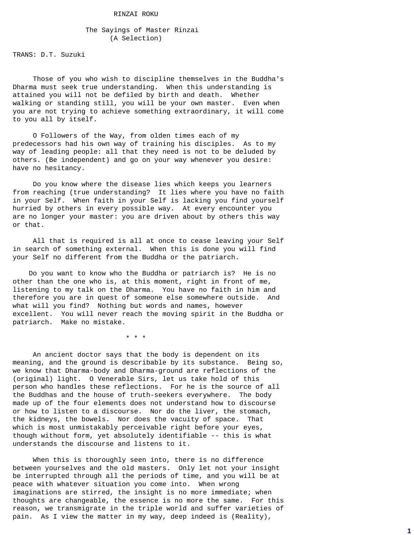## The Sayings of Master Rinzai (A Selection)

TRANS: D.T. Suzuki

 Those of you who wish to discipline themselves in the Buddha's Dharma must seek true understanding. When this understanding is attained you will not be defiled by birth and death. Whether walking or standing still, you will be your own master. Even when you are not trying to achieve something extraordinary, it will come to you all by itself.

 O Followers of the Way, from olden times each of my predecessors had his own way of training his disciples. As to my way of leading people: all that they need is not to be deluded by others. (Be independent) and go on your way whenever you desire: have no hesitancy.

 Do you know where the disease lies which keeps you learners from reaching (true understanding? It lies where you have no faith in your Self. When faith in your Self is lacking you find yourself hurried by others in every possible way. At every encounter you are no longer your master: you are driven about by others this way or that.

 All that is required is all at once to cease leaving your Self in search of something external. When this is done you will find your Self no different from the Buddha or the patriarch.

 Do you want to know who the Buddha or patriarch is? He is no other than the one who is, at this moment, right in front of me, listening to my talk on the Dharma. You have no faith in him and therefore you are in quest of someone else somewhere outside. And what will you find? Nothing but words and names, however excellent. You will never reach the moving spirit in the Buddha or patriarch. Make no mistake.

\* \* \*

 An ancient doctor says that the body is dependent on its meaning, and the ground is describable by its substance. Being so, we know that Dharma-body and Dharma-ground are reflections of the (original) light. O Venerable Sirs, let us take hold of this person who handles these reflections. For he is the source of all the Buddhas and the house of truth-seekers everywhere. The body made up of the four elements does not understand how to discourse or how to listen to a discourse. Nor do the liver, the stomach, the kidneys, the bowels. Nor does the vacuity of space. That which is most unmistakably perceivable right before your eyes, though without form, yet absolutely identifiable -- this is what understands the discourse and listens to it.

 When this is thoroughly seen into, there is no difference between yourselves and the old masters. Only let not your insight be interrupted through all the periods of time, and you will be at peace with whatever situation you come into. When wrong imaginations are stirred, the insight is no more immediate; when thoughts are changeable, the essence is no more the same. For this reason, we transmigrate in the triple world and suffer varieties of pain. As I view the matter in my way, deep indeed is (Reality),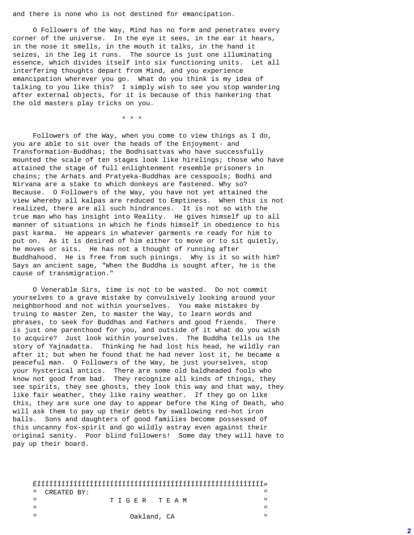and there is none who is not destined for emancipation.

 O Followers of the Way, Mind has no form and penetrates every corner of the universe. In the eye it sees, in the ear it hears, in the nose it smells, in the mouth it talks, in the hand it seizes, in the leg it runs. The source is just one illuminating essence, which divides itself into six functioning units. Let all interfering thoughts depart from Mind, and you experience emancipation wherever you go. What do you think is my idea of talking to you like this? I simply wish to see you stop wandering after external objects, for it is because of this hankering that the old masters play tricks on you.

\* \* \*

 Followers of the Way, when you come to view things as I do, you are able to sit over the heads of the Enjoyment- and Transformation-Buddhas; the Bodhisattvas who have successfully mounted the scale of ten stages look like hirelings; those who have attained the stage of full enlightenment resemble prisoners in chains; the Arhats and Pratyeka-Buddhas are cesspools; Bodhi and Nirvana are a stake to which donkeys are fastened. Why so? Because. O Followers of the Way, you have not yet attained the view whereby all kalpas are reduced to Emptiness. When this is not realized, there are all such hindrances. It is not so with the true man who has insight into Reality. He gives himself up to all manner of situations in which he finds himself in obedience to his past karma. He appears in whatever garments re ready for him to put on. As it is desired of him either to move or to sit quietly, he moves or sits. He has not a thought of running after Buddhahood. He is free from such pinings. Why is it so with him? Says an ancient sage, "When the Buddha is sought after, he is the cause of transmigration."

 O Venerable Sirs, time is not to be wasted. Do not commit yourselves to a grave mistake by convulsively looking around your neighborhood and not within yourselves. You make mistakes by truing to master Zen, to master the Way, to learn words and phrases, to seek for Buddhas and Fathers and good friends. There is just one parenthood for you, and outside of it what do you wish to acquire? Just look within yourselves. The Buddha tells us the story of Yajnadatta. Thinking he had lost his head, he wildly ran after it; but when he found that he had never lost it, he became a peaceful man. O Followers of the Way, be just yourselves, stop your hysterical antics. There are some old baldheaded fools who know not good from bad. They recognize all kinds of things, they see spirits, they see ghosts, they look this way and that way, they like fair weather, they like rainy weather. If they go on like this, they are sure one day to appear before the King of Death, who will ask them to pay up their debts by swallowing red-hot iron balls. Sons and daughters of good families become possessed of this uncanny fox-spirit and go wildly astray even against their original sanity. Poor blind followers! Some day they will have to pay up their board.

 ÉÍÍÍÍÍÍÍÍÍÍÍÍÍÍÍÍÍÍÍÍÍÍÍÍÍÍÍÍÍÍÍÍÍÍÍÍÍÍÍÍÍÍÍÍÍÍÍÍÍÍÍÍÍÍÍÍ» º CREATED BY: º º T I G E R T E A M º º º º Oakland, CA º